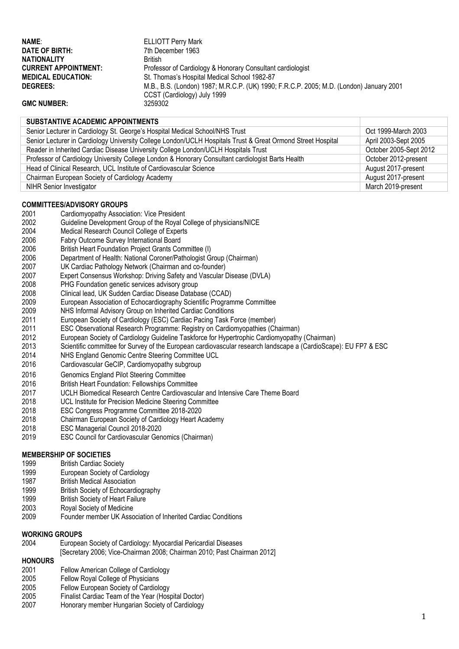| NAME:                       | <b>ELLIOTT Perry Mark</b>                                                               |
|-----------------------------|-----------------------------------------------------------------------------------------|
| DATE OF BIRTH:              | 7th December 1963                                                                       |
| <b>NATIONALITY</b>          | <b>British</b>                                                                          |
| <b>CURRENT APPOINTMENT:</b> | Professor of Cardiology & Honorary Consultant cardiologist                              |
| <b>MEDICAL EDUCATION:</b>   | St. Thomas's Hospital Medical School 1982-87                                            |
| <b>DEGREES:</b>             | M.B., B.S. (London) 1987; M.R.C.P. (UK) 1990; F.R.C.P. 2005; M.D. (London) January 2001 |
|                             | CCST (Cardiology) July 1999                                                             |
| <b>GMC NUMBER:</b>          | 3259302                                                                                 |

### **SUBSTANTIVE ACADEMIC APPOINTMENTS**

| Senior Lecturer in Cardiology St. George's Hospital Medical School/NHS Trust                                | Oct 1999-March 2003    |  |
|-------------------------------------------------------------------------------------------------------------|------------------------|--|
| Senior Lecturer in Cardiology University College London/UCLH Hospitals Trust & Great Ormond Street Hospital | April 2003-Sept 2005   |  |
| Reader in Inherited Cardiac Disease University College London/UCLH Hospitals Trust                          | October 2005-Sept 2012 |  |
| Professor of Cardiology University College London & Honorary Consultant cardiologist Barts Health           | October 2012-present   |  |
| Head of Clinical Research, UCL Institute of Cardiovascular Science                                          | August 2017-present    |  |
| Chairman European Society of Cardiology Academy                                                             | August 2017-present    |  |
| <b>NIHR Senior Investigator</b>                                                                             | March 2019-present     |  |
|                                                                                                             |                        |  |

# **COMMITTEES/ADVISORY GROUPS**<br>2001 **Cardiomyopathy Associal**

- Cardiomyopathy Association: Vice President
- 2002 Guideline Development Group of the Royal College of physicians/NICE<br>2004 Medical Research Council College of Experts
- 2004 Medical Research Council College of Experts<br>2006 Fabry Outcome Survey International Board
- 2006 Fabry Outcome Survey International Board
- 2006 British Heart Foundation Project Grants Committee (I)
- 2006 Department of Health: National Coroner/Pathologist Group (Chairman)<br>2007 UK Cardiac Pathology Network (Chairman and co-founder)
- 2007 UK Cardiac Pathology Network (Chairman and co-founder)
- 2007 Expert Consensus Workshop: Driving Safety and Vascular Disease (DVLA)<br>2008 PHG Foundation genetic services advisory group
- 2008 PHG Foundation genetic services advisory group
- 2008 Clinical lead, UK Sudden Cardiac Disease Database (CCAD)
- 2009 European Association of Echocardiography Scientific Programme Committee
- NHS Informal Advisory Group on Inherited Cardiac Conditions
- 2011 European Society of Cardiology (ESC) Cardiac Pacing Task Force (member)
- ESC Observational Research Programme: Registry on Cardiomyopathies (Chairman)
- 2012 European Society of Cardiology Guideline Taskforce for Hypertrophic Cardiomyopathy (Chairman)
- 2013 Scientific committee for Survey of the European cardiovascular research landscape a (CardioScape): EU FP7 & ESC<br>2014 NHS England Genomic Centre Steering Committee UCL
- NHS England Genomic Centre Steering Committee UCL
- 2016 Cardiovascular GeCIP, Cardiomyopathy subgroup
- 2016 Genomics England Pilot Steering Committee
- 
- 2016 British Heart Foundation: Fellowships Committee 2017 UCLH Biomedical Research Centre Cardiovascular and Intensive Care Theme Board
- 2018 UCL Institute for Precision Medicine Steering Committee<br>2018 ESC Congress Programme Committee 2018-2020
- 2018 ESC Congress Programme Committee 2018-2020
- 2018 Chairman European Society of Cardiology Heart Academy
- 2018 ESC Managerial Council 2018-2020
- 2019 ESC Council for Cardiovascular Genomics (Chairman)

## **MEMBERSHIP OF SOCIETIES**

- 1999 British Cardiac Society<br>1999 Furonean Society of Ca
- 1999 European Society of Cardiology<br>1987 British Medical Association
- 1987 British Medical Association<br>1999 British Society of Echocard
- British Society of Echocardiography
- 1999 British Society of Heart Failure
- 2003 Royal Society of Medicine
- 2009 Founder member UK Association of Inherited Cardiac Conditions

### **WORKING GROUPS**

- 2004 European Society of Cardiology: Myocardial Pericardial Diseases
- [Secretary 2006; Vice-Chairman 2008; Chairman 2010; Past Chairman 2012]

# **HONOURS**

- 2001 Fellow American College of Cardiology<br>2005 Fellow Roval College of Physicians
- 2005 Fellow Royal College of Physicians<br>2005 Fellow Furopean Society of Cardiol
- Fellow European Society of Cardiology
- 2005 Finalist Cardiac Team of the Year (Hospital Doctor)
- 2007 Honorary member Hungarian Society of Cardiology